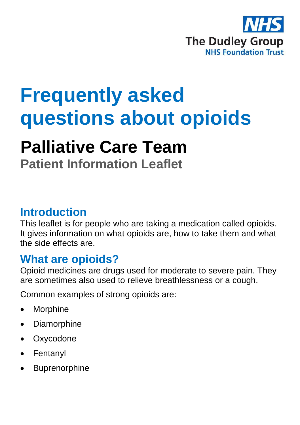

# **Frequently asked questions about opioids**

## **Palliative Care Team**

**Patient Information Leaflet**

#### **Introduction**

This leaflet is for people who are taking a medication called opioids. It gives information on what opioids are, how to take them and what the side effects are.

#### **What are opioids?**

Opioid medicines are drugs used for moderate to severe pain. They are sometimes also used to relieve breathlessness or a cough.

Common examples of strong opioids are:

- Morphine
- Diamorphine
- **Oxycodone**
- Fentanyl
- **Buprenorphine**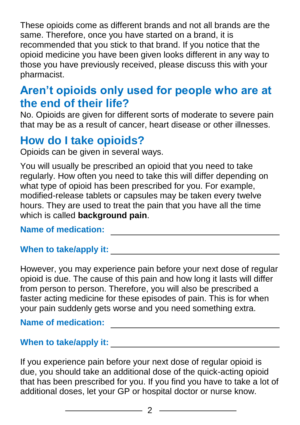These opioids come as different brands and not all brands are the same. Therefore, once you have started on a brand, it is recommended that you stick to that brand. If you notice that the opioid medicine you have been given looks different in any way to those you have previously received, please discuss this with your pharmacist.

#### **Aren't opioids only used for people who are at the end of their life?**

No. Opioids are given for different sorts of moderate to severe pain that may be as a result of cancer, heart disease or other illnesses.

#### **How do I take opioids?**

Opioids can be given in several ways.

You will usually be prescribed an opioid that you need to take regularly. How often you need to take this will differ depending on what type of opioid has been prescribed for you. For example, modified-release tablets or capsules may be taken every twelve hours. They are used to treat the pain that you have all the time which is called **background pain**.

#### **Name of medication:** <u>\_\_\_\_\_\_\_\_\_\_\_\_\_\_\_\_\_\_\_\_\_\_</u>

#### **When to take/apply it:**

However, you may experience pain before your next dose of regular opioid is due. The cause of this pain and how long it lasts will differ from person to person. Therefore, you will also be prescribed a faster acting medicine for these episodes of pain. This is for when your pain suddenly gets worse and you need something extra.

#### **Name of medication:**

#### **When to take/apply it:**

If you experience pain before your next dose of regular opioid is due, you should take an additional dose of the quick-acting opioid that has been prescribed for you. If you find you have to take a lot of additional doses, let your GP or hospital doctor or nurse know.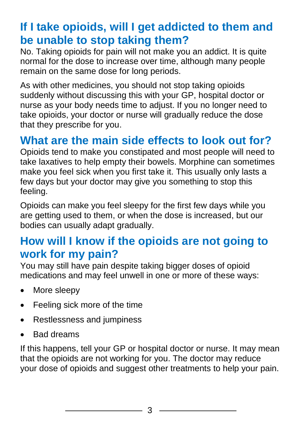### **If I take opioids, will I get addicted to them and be unable to stop taking them?**

No. Taking opioids for pain will not make you an addict. It is quite normal for the dose to increase over time, although many people remain on the same dose for long periods.

As with other medicines, you should not stop taking opioids suddenly without discussing this with your GP, hospital doctor or nurse as your body needs time to adjust. If you no longer need to take opioids, your doctor or nurse will gradually reduce the dose that they prescribe for you.

### **What are the main side effects to look out for?**

Opioids tend to make you constipated and most people will need to take laxatives to help empty their bowels. Morphine can sometimes make you feel sick when you first take it. This usually only lasts a few days but your doctor may give you something to stop this feeling.

Opioids can make you feel sleepy for the first few days while you are getting used to them, or when the dose is increased, but our bodies can usually adapt gradually.

#### **How will I know if the opioids are not going to work for my pain?**

You may still have pain despite taking bigger doses of opioid medications and may feel unwell in one or more of these ways:

- More sleepy
- Feeling sick more of the time
- Restlessness and jumpiness
- Bad dreams

If this happens, tell your GP or hospital doctor or nurse. It may mean that the opioids are not working for you. The doctor may reduce your dose of opioids and suggest other treatments to help your pain.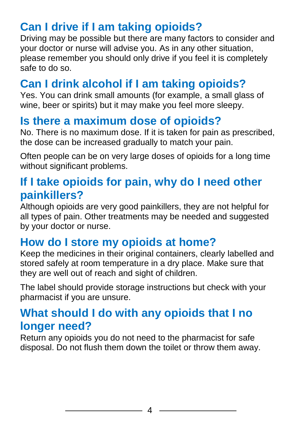## **Can I drive if I am taking opioids?**

Driving may be possible but there are many factors to consider and your doctor or nurse will advise you. As in any other situation, please remember you should only drive if you feel it is completely safe to do so.

## **Can I drink alcohol if I am taking opioids?**

Yes. You can drink small amounts (for example, a small glass of wine, beer or spirits) but it may make you feel more sleepy.

#### **Is there a maximum dose of opioids?**

No. There is no maximum dose. If it is taken for pain as prescribed, the dose can be increased gradually to match your pain.

Often people can be on very large doses of opioids for a long time without significant problems.

#### **If I take opioids for pain, why do I need other painkillers?**

Although opioids are very good painkillers, they are not helpful for all types of pain. Other treatments may be needed and suggested by your doctor or nurse.

## **How do I store my opioids at home?**

Keep the medicines in their original containers, clearly labelled and stored safely at room temperature in a dry place. Make sure that they are well out of reach and sight of children.

The label should provide storage instructions but check with your pharmacist if you are unsure.

#### **What should I do with any opioids that I no longer need?**

Return any opioids you do not need to the pharmacist for safe disposal. Do not flush them down the toilet or throw them away.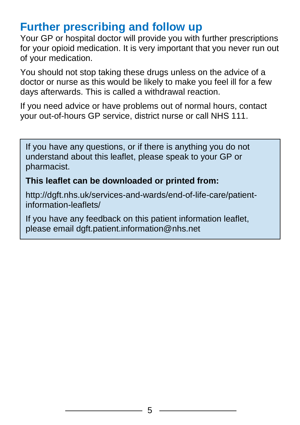#### **Further prescribing and follow up**

Your GP or hospital doctor will provide you with further prescriptions for your opioid medication. It is very important that you never run out of your medication.

You should not stop taking these drugs unless on the advice of a doctor or nurse as this would be likely to make you feel ill for a few days afterwards. This is called a withdrawal reaction.

If you need advice or have problems out of normal hours, contact your out-of-hours GP service, district nurse or call NHS 111.

If you have any questions, or if there is anything you do not understand about this leaflet, please speak to your GP or pharmacist.

#### **This leaflet can be downloaded or printed from:**

http://dgft.nhs.uk/services-and-wards/end-of-life-care/patientinformation-leaflets/

If you have any feedback on this patient information leaflet, please email dgft.patient.information@nhs.net